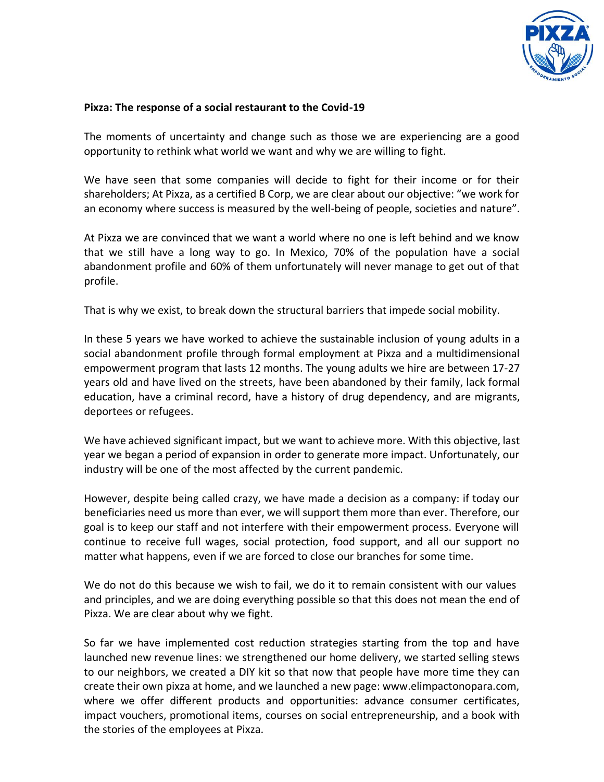

## **Pixza: The response of a social restaurant to the Covid-19**

The moments of uncertainty and change such as those we are experiencing are a good opportunity to rethink what world we want and why we are willing to fight.

We have seen that some companies will decide to fight for their income or for their shareholders; At Pixza, as a certified B Corp, we are clear about our objective: "we work for an economy where success is measured by the well-being of people, societies and nature".

At Pixza we are convinced that we want a world where no one is left behind and we know that we still have a long way to go. In Mexico, 70% of the population have a social abandonment profile and 60% of them unfortunately will never manage to get out of that profile.

That is why we exist, to break down the structural barriers that impede social mobility.

In these 5 years we have worked to achieve the sustainable inclusion of young adults in a social abandonment profile through formal employment at Pixza and a multidimensional empowerment program that lasts 12 months. The young adults we hire are between 17-27 years old and have lived on the streets, have been abandoned by their family, lack formal education, have a criminal record, have a history of drug dependency, and are migrants, deportees or refugees.

We have achieved significant impact, but we want to achieve more. With this objective, last year we began a period of expansion in order to generate more impact. Unfortunately, our industry will be one of the most affected by the current pandemic.

However, despite being called crazy, we have made a decision as a company: if today our beneficiaries need us more than ever, we will support them more than ever. Therefore, our goal is to keep our staff and not interfere with their empowerment process. Everyone will continue to receive full wages, social protection, food support, and all our support no matter what happens, even if we are forced to close our branches for some time.

We do not do this because we wish to fail, we do it to remain consistent with our values and principles, and we are doing everything possible so that this does not mean the end of Pixza. We are clear about why we fight.

So far we have implemented cost reduction strategies starting from the top and have launched new revenue lines: we strengthened our home delivery, we started selling stews to our neighbors, we created a DIY kit so that now that people have more time they can create their own pixza at home, and we launched a new page: www.elimpactonopara.com, where we offer different products and opportunities: advance consumer certificates, impact vouchers, promotional items, courses on social entrepreneurship, and a book with the stories of the employees at Pixza.